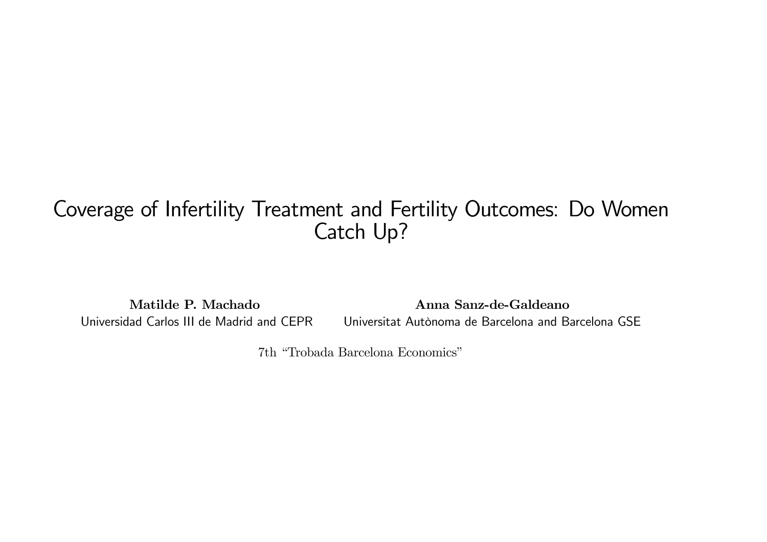# Coverage of Infertility Treatment and Fertility Outcomes: Do Women Catch Up?

Matilde P. Machado Universidad Carlos III de Madrid and CEPR Anna Sanz-de-Galdeano Universitat Autònoma de Barcelona and Barcelona GSE

7th "Trobada Barcelona Economics"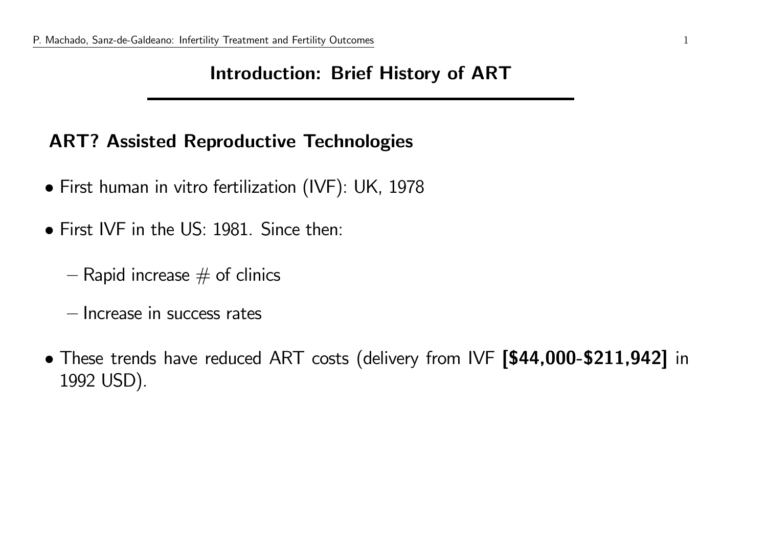### Introduction: Brief History of ART

### ART? Assisted Reproductive Technologies

- First human in vitro fertilization (IVF): UK, <sup>1978</sup>
- First IVF in the US: 1981. Since then:
	- $-$  Rapid increase  $\#$  of clinics
	- Increase in success rates
- These trends have reduced ART costs (delivery from IVF [\$44,000-\$211,942] in <sup>1992</sup> USD).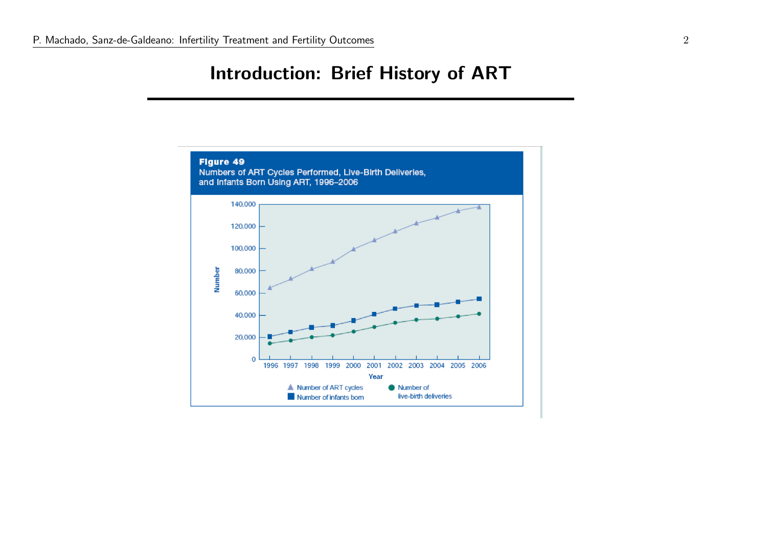#### Introduction: Brief History of ART

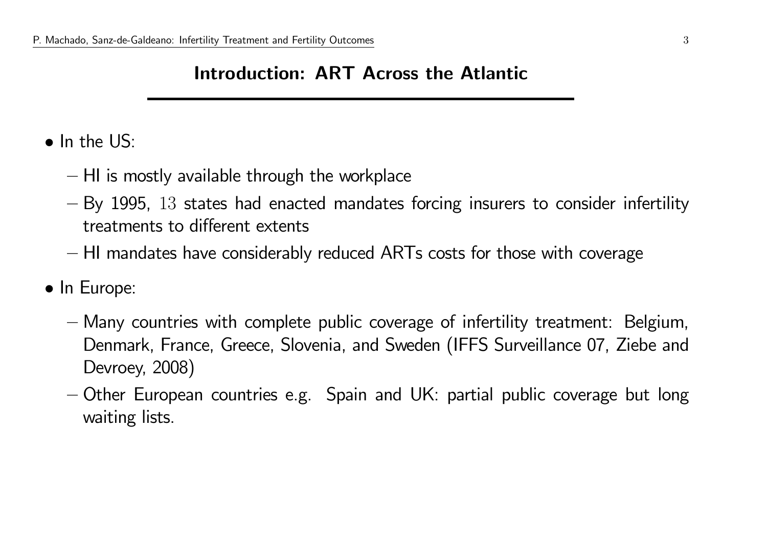#### Introduction: ART Across the Atlantic

- In the US:
	- $-$  HI is mostly available through the workplace
	- $-$  By 1995,  $13$  states had enacted mandates forcing insurers to consider infertility  $\,$ treatments to different extents
	- $-$  HI mandates have considerably reduced  $\mathsf{ARTs}$  costs for those with coverage
- In Europe:
	- Many countries with complete public coverage of infertility treatment: Belgium, Denmark, France, Greece, Slovenia, and Sweden (IFFS Surveillance 07, Ziebe and Devroey, 2008)
	- Other European countries e.g. Spain and UK: partial public coverage but long waiting lists.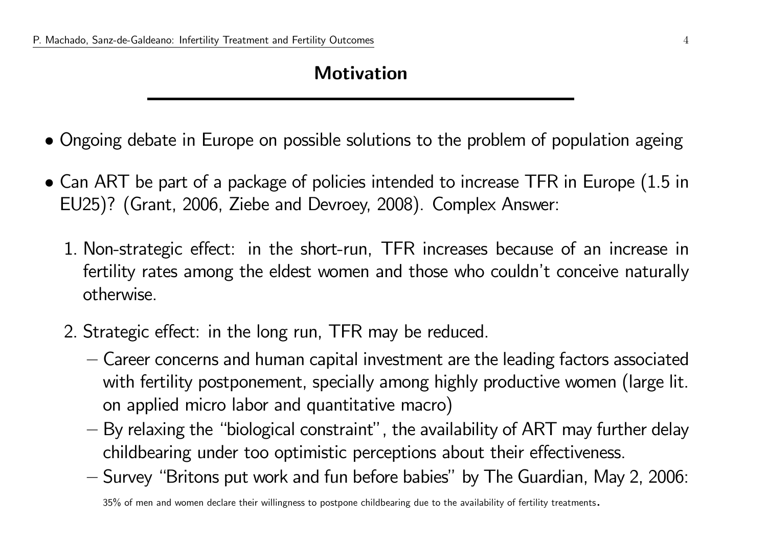## Motivation

- Ongoing debate in Europe on possible solutions to the problem of population ageing
- Can ART be part of a package of policies intended to increase TFR in Europe  $(1.5 \text{ in } 10^{10})$ EU25)? (Grant, 2006, Ziebe and Devroey, 2008). Complex Answer:
	- 1. Non-strategic effect: in the short-run, TFR increases because of an increase in fertility rates among the eldest women and those who couldn't conceive naturally otherwise.
	- 2. Strategic effect: in the long run, TFR may be reduced.
		- Career concerns and human capital investment are the leading factors associated with fertility postponement, specially among highly productive women (large lit. on applied micro labor and quantitative macro)
		- By relaxing the "biological constraint", the availability of ART may further delay childbearing under too optimistic perceptions about their effectiveness.
		- $-$  Survey "Britons put work and fun before babies" by The Guardian, May 2, 2006:

35% of men and women declare their willingness to postpone childbearing due to the availability of fertility treatments.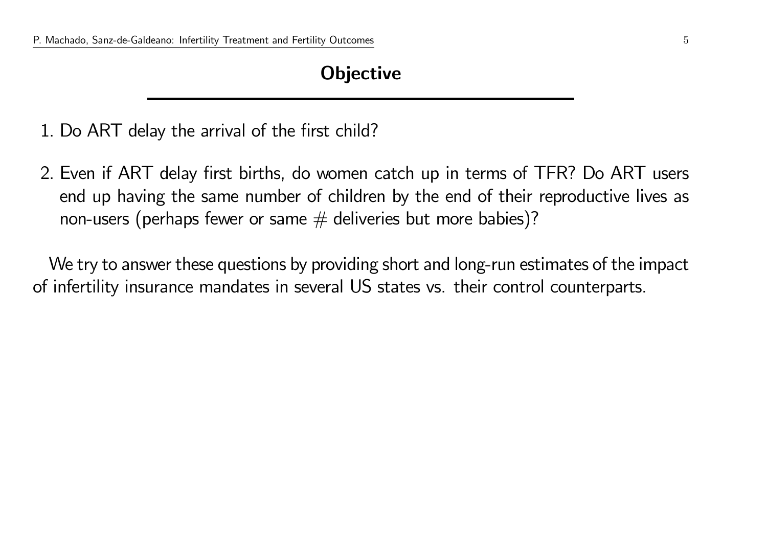#### **Objective**

1. Do ART delay the arrival of the first child?

2. Even if ART delay first births, do women catch up in terms of TFR? Do ART users end up having the same number of children by the end of their reproductive lives as non-users (perhaps fewer or same  $#$  deliveries but more babies)?

We try to answer these questions by providing short and long-run estimates of the impact of infertility insurance mandates in several US states vs. their control counterparts.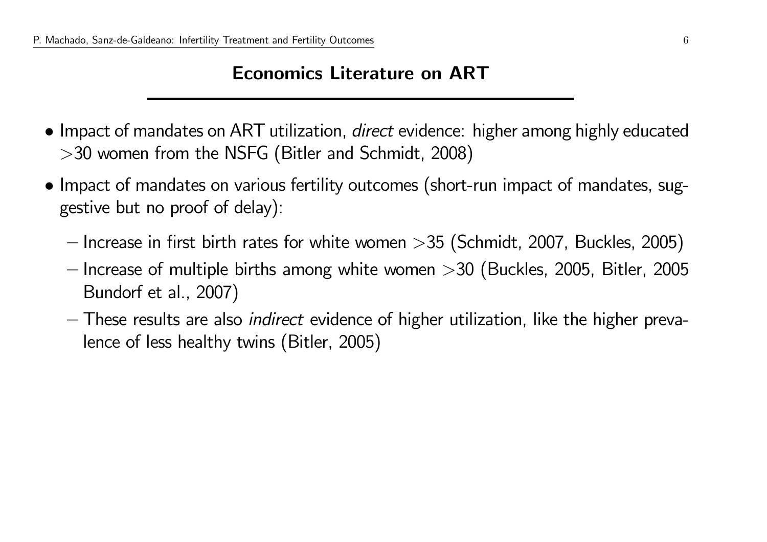#### Economics Literature on ART

- Impact of mandates on ART utilization, *direct* evidence: higher among highly educated<br>
NEEC (Bullian LE-Line 2000) <sup>&</sup>gt;<sup>30</sup> women from the NSFG (Bitler and Schmidt, 2008)
- Impact of mandates on various fertility outcomes (short-run impact of mandates, suggestive but no proof of delay):
	- $-$  Increase in first birth rates for white women  $>\!35$  (Schmidt, 2007, Buckles, 2005)
	- Increase of multiple births among white women  ${>}30$  (Buckles, 2005, Bitler, 2005<br>— Reade feated 2007) Bundorf et al., 2007)
	- These results are also indirect evidence of higher utilization, like the higher prevalence of less healthy twins (Bitler, 2005)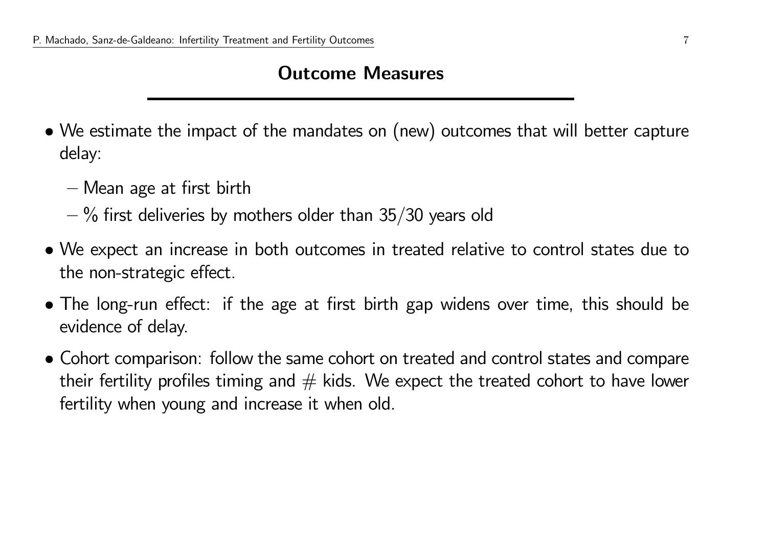#### Outcome Measures

- We estimate the impact of the mandates on (new) outcomes that will better capture delay:
	- Mean age at first birth
	- $-$  % first deliveries by mothers older than 35/30 years old
- We expect an increase in both outcomes in treated relative to control states due to the non-strategic effect.
- The long-run effect: if the age at first birth gap widens over time, this should be evidence of delay.
- Cohort comparison: follow the same cohort on treated and control states and compare their fertility profiles timing and  $#$  kids. We expect the treated cohort to have lower fertility when young and increase it when old.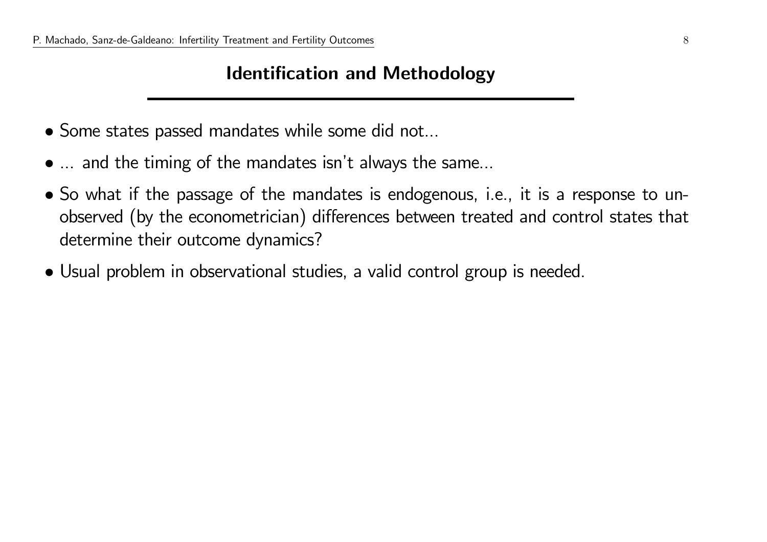#### Identification and Methodology

- Some states passed mandates while some did not...
- ... and the timing of the mandates isn't always the same...
- So what if the passage of the mandates is endogenous, i.e., it is <sup>a</sup> response to unobserved (by the econometrician) differences between treated and control states that determine their outcome dynamics?
- Usual problem in observational studies, <sup>a</sup> valid control group is needed.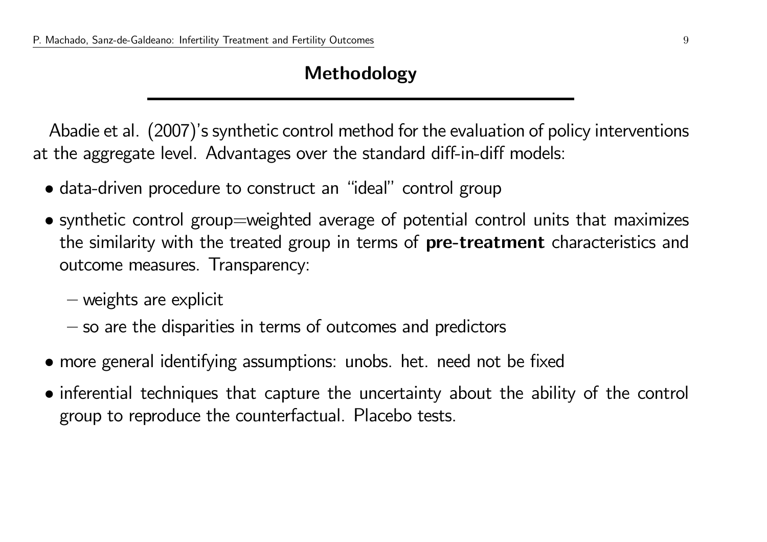#### Methodology

Abadie et al. (2007)'s synthetic control method for the evaluation of policy interventions at the aggregate level. Advantages over the standard diff-in-diff models:

- data-driven procedure to construct an "ideal" control grou p
- synthetic control group=weighted average of potential control units that maximizes the similarity with the treated group in terms of **pre-treatment** characteristics and outcome measures. Transparency:
	- weights are explicit
	- $-$  so are the disparities in terms of outcomes and predictors
- more genera<sup>l</sup> identifying assumptions: unobs. het. need not be fixed
- inferential techniques that capture the uncertainty about the ability of the control group to reproduce the counterfactual. Placebo tests.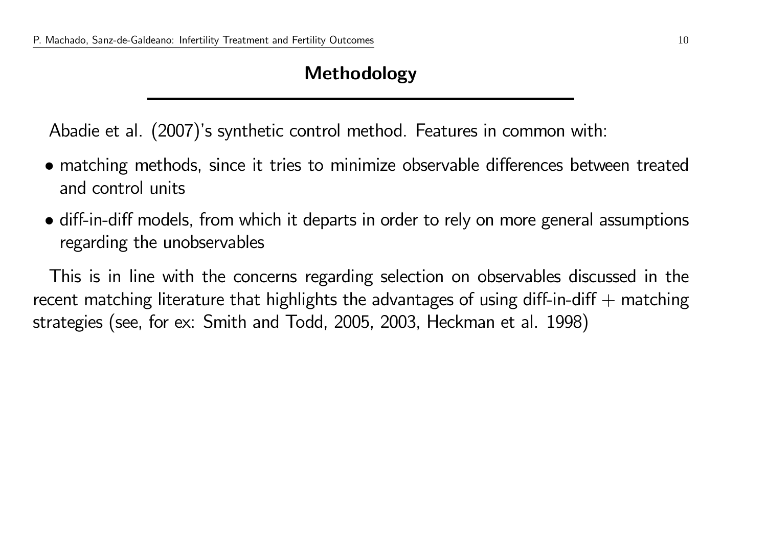### Methodology

Abadie et al. (2007)'s synthetic control method. Features in common with:

- matching methods, since it tries to minimize observable differences between treated and control units
- diff-in-diff models, from which it departs in order to rely on more genera<sup>l</sup> assumptions regarding the unobservables

This is in line with the concerns regarding selection on observables discussed in the recent matching literature that highlights the advantages of using diff-in-diff  $+$  matching strategies (see, for ex: Smith and Todd, 2005, 2003, Heckman et al. 1998)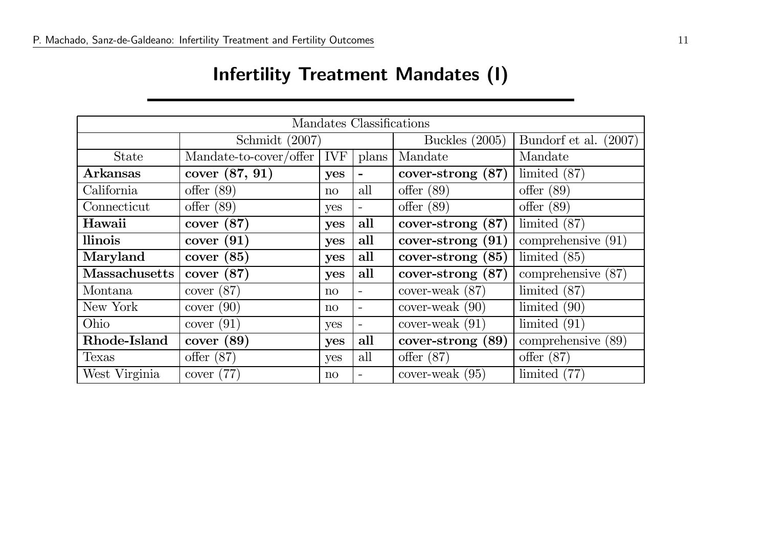# Infertility Treatment Mandates (I)

| Mandates Classifications |                        |                 |                          |                      |                          |  |  |  |
|--------------------------|------------------------|-----------------|--------------------------|----------------------|--------------------------|--|--|--|
|                          | Schmidt $(2007)$       |                 |                          | Buckles $(2005)$     | Bundorf et al.<br>(2007) |  |  |  |
| <b>State</b>             | Mandate-to-cover/offer | <b>IVF</b>      | plans                    | Mandate              | Mandate                  |  |  |  |
| Arkansas                 | cover (87, 91)         | yes             | $\overline{\phantom{a}}$ | cover-strong $(87)$  | limited $(87)$           |  |  |  |
| California               | offer $(89)$           | $\overline{no}$ | all                      | offer $(89)$         | offer $(89)$             |  |  |  |
| Connecticut              | offer $(89)$           | yes             | $\overline{\phantom{a}}$ | offer $(89)$         | offer $(89)$             |  |  |  |
| Hawaii                   | (87)<br>cover          | yes             | all                      | (87)<br>cover-strong | limited $(87)$           |  |  |  |
| llinois                  | (91)<br>cover          | yes             | all                      | (91)<br>cover-strong | comprehensive $(91)$     |  |  |  |
| Maryland                 | (85)<br>cover          | yes             | all                      | (85)<br>cover-strong | limited $(85)$           |  |  |  |
| <b>Massachusetts</b>     | (87)<br>cover          | yes             | all                      | cover-strong (87)    | comprehensive (<br>(87)  |  |  |  |
| Montana                  | (87)<br>cover          | $\overline{no}$ | $\overline{\phantom{a}}$ | cover-weak $(87)$    | limited $(87)$           |  |  |  |
| New York                 | (90)<br>cover          | $\overline{no}$ | $\overline{\phantom{a}}$ | $cover$ -weak $(90)$ | limited $(90)$           |  |  |  |
| Ohio                     | cover $(91)$           | yes             | $\overline{\phantom{a}}$ | cover-weak $(91)$    | limited $(91)$           |  |  |  |
| Rhode-Island             | cover (89)             | yes             | all                      | cover-strong (89)    | comprehensive (89)       |  |  |  |
| Texas                    | offer $(87)$           | yes             | all                      | offer $(87)$         | offer $(87)$             |  |  |  |
| West Virginia            | cover $(77)$           | $\mathbf{n}$    | $\overline{\phantom{0}}$ | cover-weak $(95)$    | limited $(77)$           |  |  |  |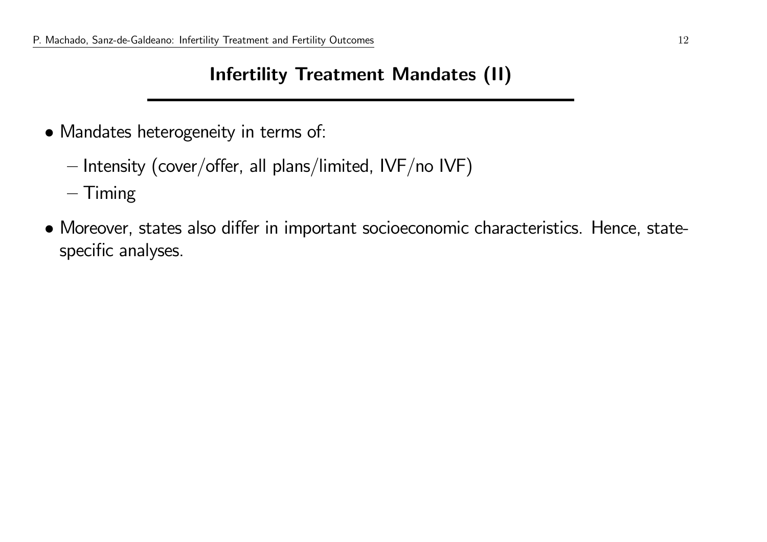## Infertility Treatment Mandates (II)

- Mandates heterogeneity in terms of:
	- $-$  Intensity (cover/offer, all plans/limited, IVF/no IVF)
	- $-$  Timing
- Moreover, states also differ in important socioeconomic characteristics. Hence, statespecific analyses.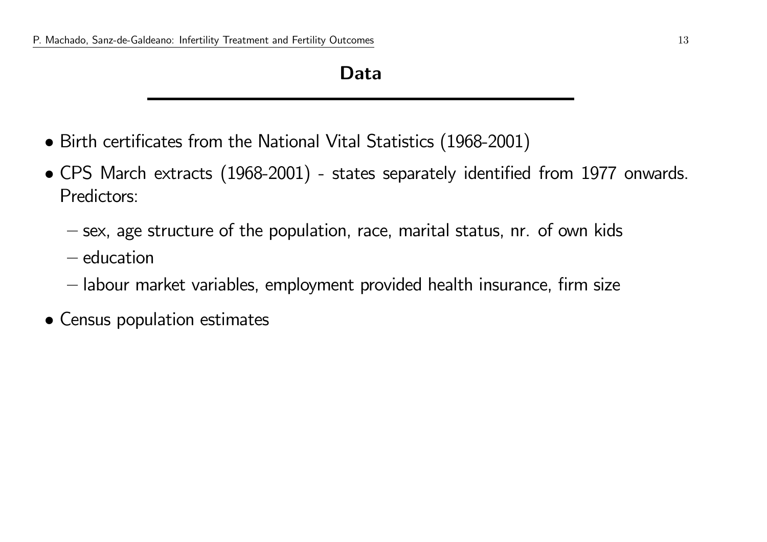#### Data

- Birth certificates from the National Vital Statistics (1968-2001)
- CPS March extracts (1968-2001) states separately identified from <sup>1977</sup> onwards. Predictors:
	- $-$  sex, age structure of the population, race, marital status,  $\mathsf{nr}\mathsf{.}$  of own kids
	- $-$  education
	- $-$  labour market variables, employment provided health insurance, firm size
- Census population estimates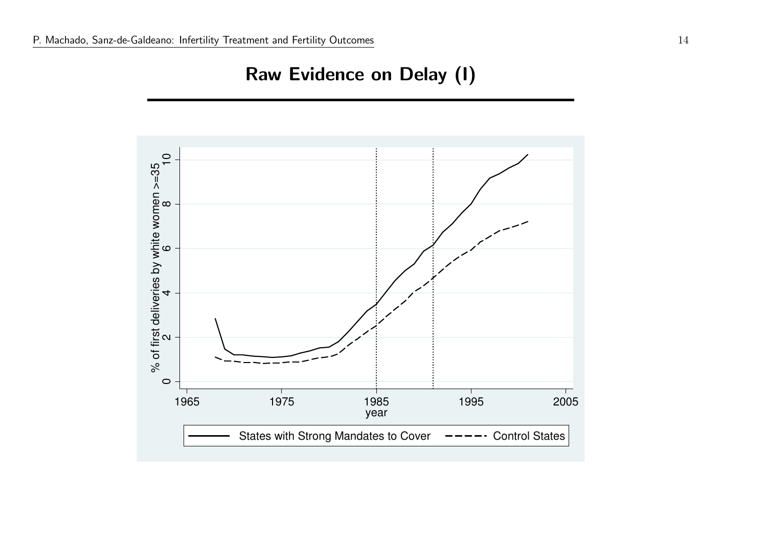### Raw Evidence on Delay (I)

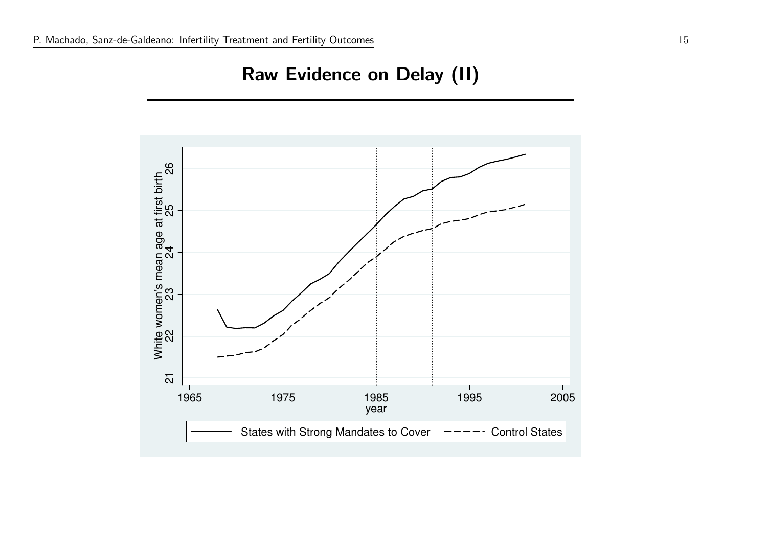# Raw Evidence on Delay (II)

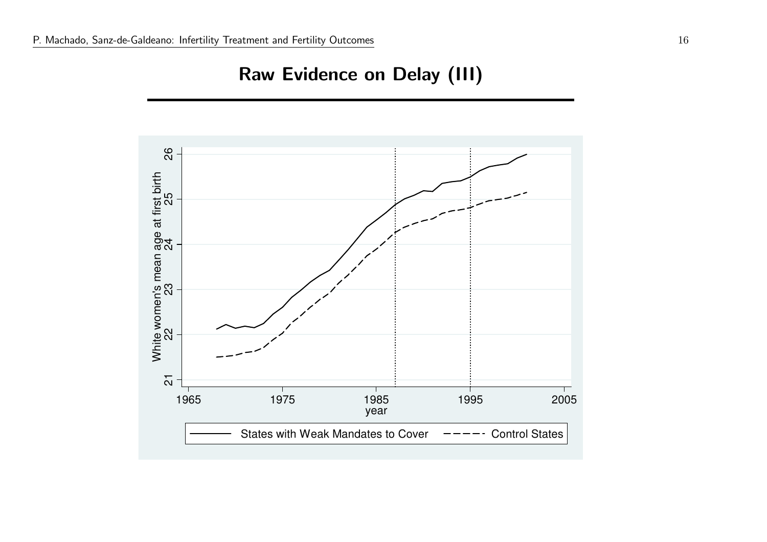# Raw Evidence on Delay (III)

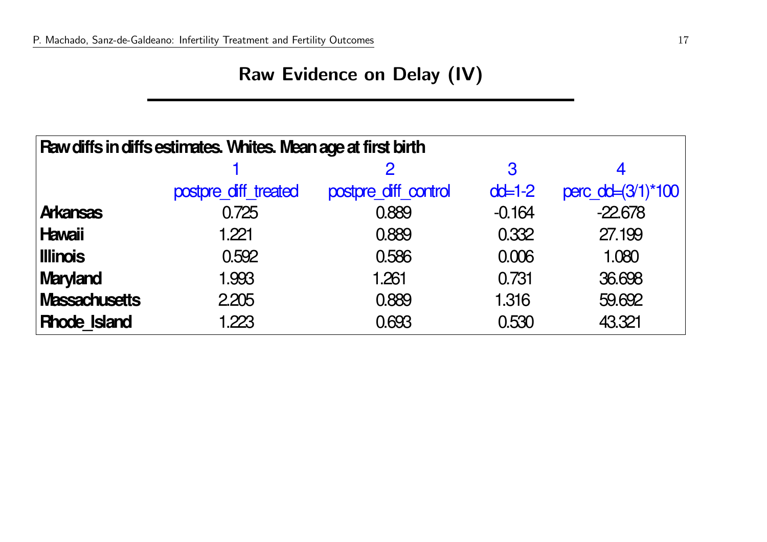# Raw Evidence on Delay (IV)

| Raw diffs in diffs estimates. Whites. Mean age at first birth |                      |                      |                     |                   |  |  |  |  |
|---------------------------------------------------------------|----------------------|----------------------|---------------------|-------------------|--|--|--|--|
|                                                               |                      |                      | 3                   |                   |  |  |  |  |
|                                                               | postpre diff treated | postpre diff control | $\alpha$ $\neq$ 1-2 | perc_dd=(3/1)*100 |  |  |  |  |
| <b>Arkansas</b>                                               | 0.725                | 0.889                | $-0.164$            | $-22678$          |  |  |  |  |
| <b>Hawaii</b>                                                 | 1.221                | 0.889                | 0.332               | 27.199            |  |  |  |  |
| <b>Illinois</b>                                               | 0.592                | 0.586                | 0.006               | 1.080             |  |  |  |  |
| <b>Maryland</b>                                               | 1.993                | 1.261                | 0.731               | 36,698            |  |  |  |  |
| Massachusetts                                                 | 2205                 | 0.889                | 1.316               | 59,692            |  |  |  |  |
| <b>Rhode Island</b>                                           | 1.223                | 0.693                | 0.530               | 43.321            |  |  |  |  |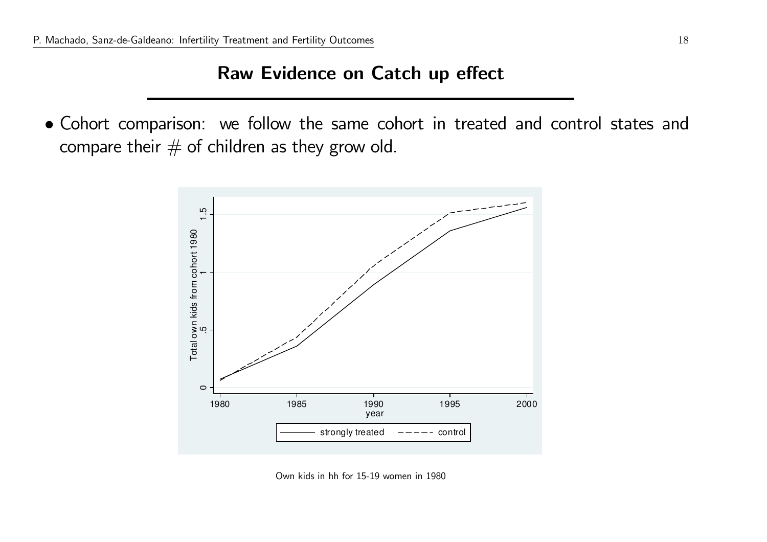#### Raw Evidence on Catch up effect

• Cohort comparison: we follow the same cohort in treated and control states and compare their  $#$  of children as they grow old.



Own kids in hh for 15-19 women in <sup>1980</sup>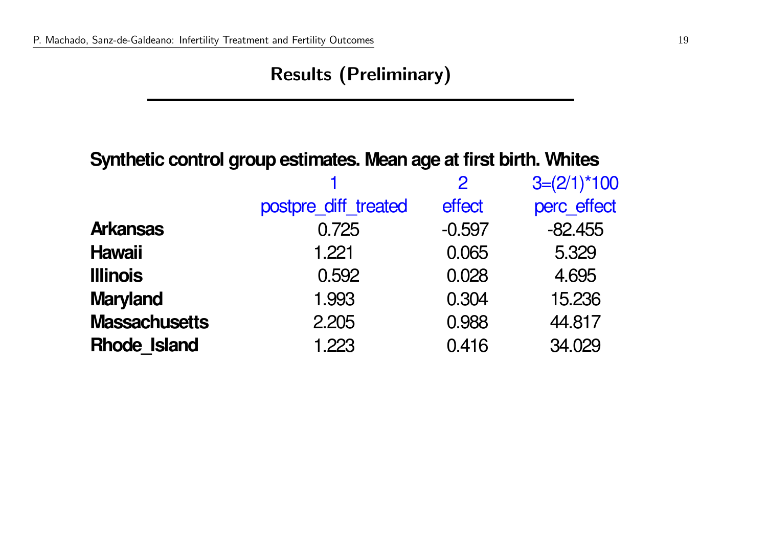# Results (Preliminary)

#### **Synthetic control group estimates. Mean age at first birth. Whites**

|                      |                      | $\overline{2}$ | $3=(2/1)*100$ |
|----------------------|----------------------|----------------|---------------|
|                      | postpre_diff_treated | effect         | perc effect   |
| <b>Arkansas</b>      | 0.725                | $-0.597$       | $-82.455$     |
| <b>Hawaii</b>        | 1.221                | 0.065          | 5.329         |
| <b>Illinois</b>      | 0.592                | 0.028          | 4.695         |
| <b>Maryland</b>      | 1.993                | 0.304          | 15.236        |
| <b>Massachusetts</b> | 2.205                | 0.988          | 44.817        |
| <b>Rhode Island</b>  | 1.223                | 0.416          | 34.029        |
|                      |                      |                |               |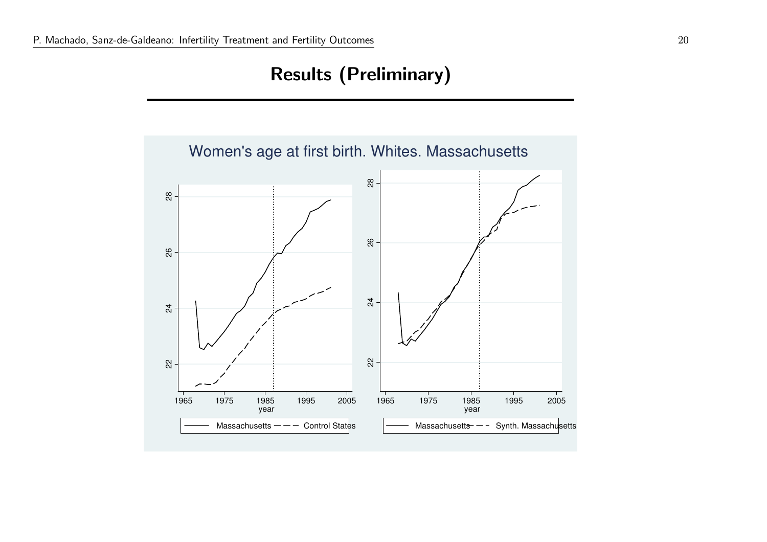# Results (Preliminary)

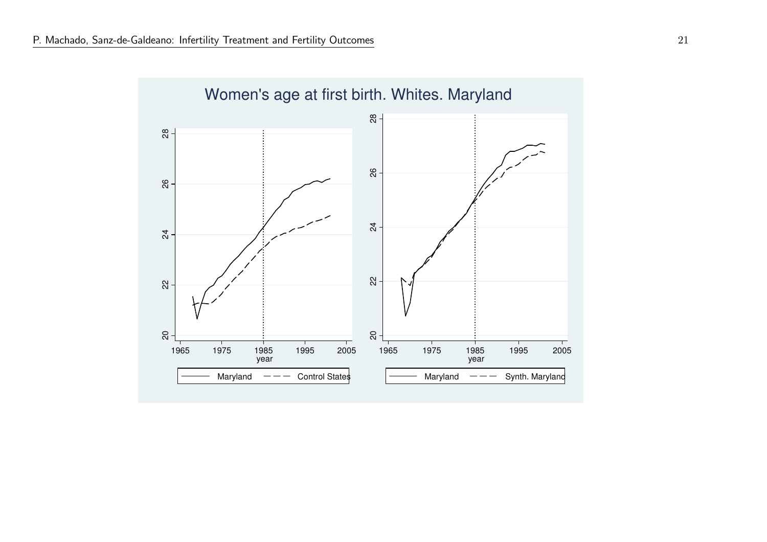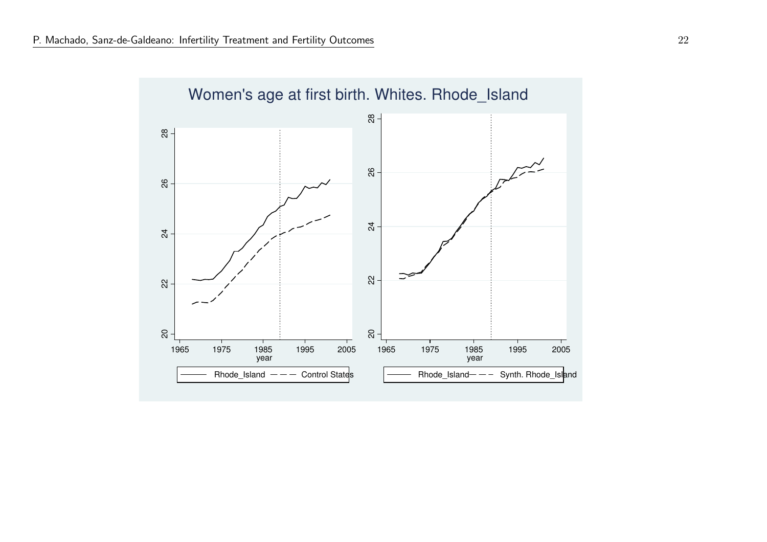